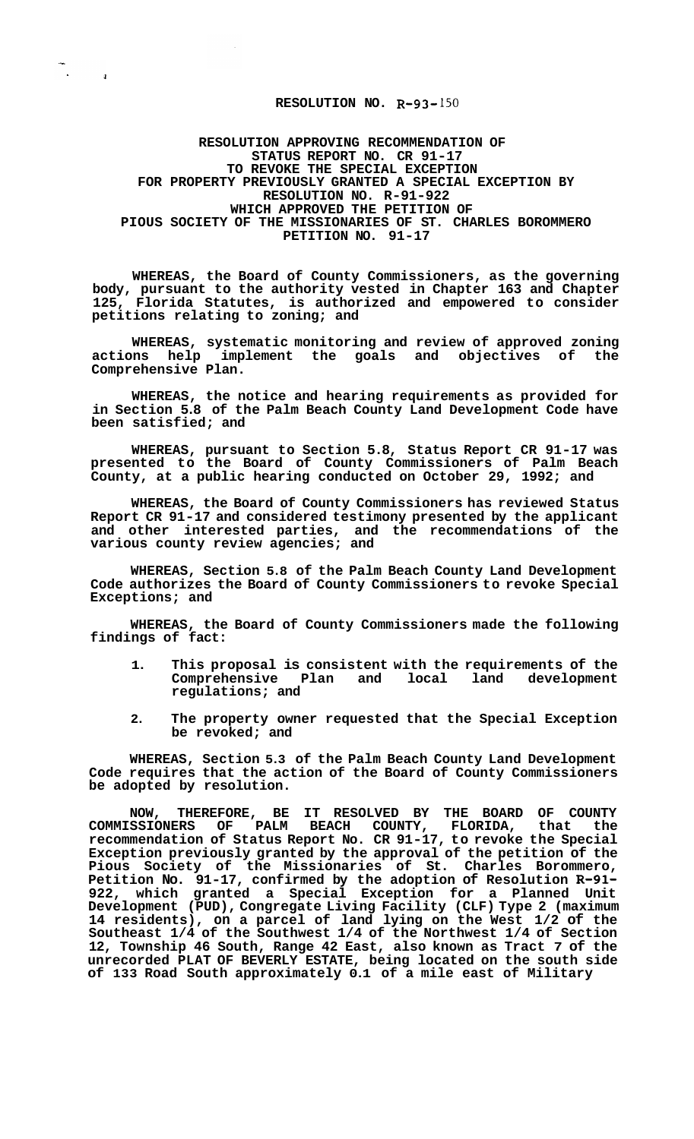## **RESOLUTION NO. R-93-** 150

 $\widetilde{\mathbb{Z}}_{\mathbb{Z}}$  and

**RESOLUTION APPROVING RECOMMENDATION OF STATUS REPORT NO. CR 91-17 TO REVOKE THE SPECIAL EXCEPTION FOR PROPERTY PREVIOUSLY GRANTED A SPECIAL EXCEPTION BY RESOLUTION NO. R-91-922 WHICH APPROVED THE PETITION OF PIOUS SOCIETY OF THE MISSIONARIES OF ST. CHARLES BOROMMERO PETITION NO. 91-17** 

**WHEREAS, the Board of County Commissioners, as the governing body, pursuant to the authority vested in Chapter 163 and Chapter 125, Florida Statutes, is authorized and empowered to consider petitions relating to zoning; and** 

**WHEREAS, systematic monitoring and review of approved zoning**  actions help implement the goals and objectives of **Comprehensive Plan.** 

**WHEREAS, the notice and hearing requirements as provided for in Section 5.8 of the Palm Beach County Land Development Code have been satisfied; and** 

**WHEREAS, pursuant to Section 5.8, Status Report CR 91-17 was presented to the Board of County Commissioners of Palm Beach County, at a public hearing conducted on October 29, 1992; and** 

**WHEREAS, the Board of County Commissioners has reviewed Status Report CR 91-17 and considered testimony presented by the applicant and other interested parties, and the recommendations of the various county review agencies; and** 

**WHEREAS, Section 5.8 of the Palm Beach County Land Development Code authorizes the Board of County Commissioners to revoke Special Exceptions; and** 

**WHEREAS, the Board of County Commissioners made the following findings of fact:** 

- **1. This proposal is consistent with the requirements of the**  Comprehensive Plan and local land **regulations; and**
- **2. The property owner requested that the Special Exception be revoked; and**

**WHEREAS, Section 5.3 of the Palm Beach County Land Development Code requires that the action of the Board of County Commissioners be adopted by resolution.** 

**NOW, THEREFORE, BE IT RESOLVED BY THE BOARD OF COUNTY COMMISSIONERS OF PALM BEACH COUNTY, FLORIDA, that the recommendation of Status Report No. CR 91-17, to revoke the Special Exception previously granted by the approval of the petition of the Pious Society of the Missionaries of St. Charles Borommero, Petition No. 91-17, confirmed by the adoption of Resolution R-91- 922, which granted a Special Exception for a Planned Unit Development (PUD), Congregate Living Facility (CLF) Type 2 (maximum 14 residents), on a parcel of land lying on the West 1/2 of the Southeast 1/4 of the Southwest 1/4 of the Northwest 1/4 of Section 12, Township 46 South, Range 42 East, also known as Tract 7 of the unrecorded PLAT OF BEVERLY ESTATE, being located on the south side of 133 Road South approximately 0.1 of a mile east of Military**